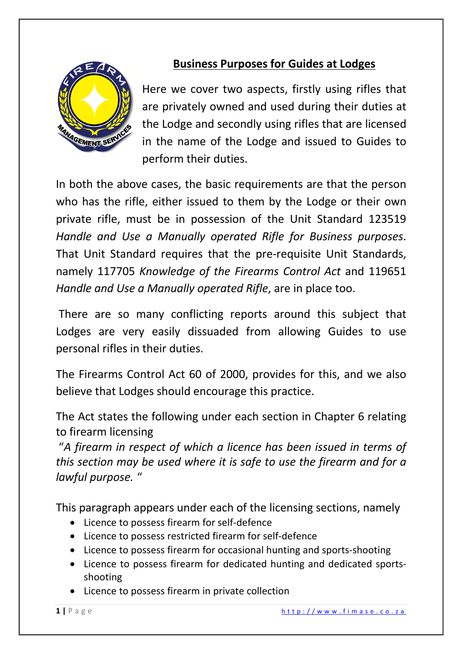

## **Business Purposes for Guides at Lodges**

Here we cover two aspects, firstly using rifles that are privately owned and used during their duties at the Lodge and secondly using rifles that are licensed in the name of the Lodge and issued to Guides to perform their duties.

In both the above cases, the basic requirements are that the person who has the rifle, either issued to them by the Lodge or their own private rifle, must be in possession of the Unit Standard 123519 *Handle and Use a Manually operated Rifle for Business purposes*. That Unit Standard requires that the pre-requisite Unit Standards, namely 117705 *Knowledge of the Firearms Control Act* and 119651 *Handle and Use a Manually operated Rifle*, are in place too.

There are so many conflicting reports around this subject that Lodges are very easily dissuaded from allowing Guides to use personal rifles in their duties.

The Firearms Control Act 60 of 2000, provides for this, and we also believe that Lodges should encourage this practice.

The Act states the following under each section in Chapter 6 relating to firearm licensing

"*A firearm in respect of which a licence has been issued in terms of this section may be used where it is safe to use the firearm and for a lawful purpose.* "

This paragraph appears under each of the licensing sections, namely

- Licence to possess firearm for self-defence
- Licence to possess restricted firearm for self-defence
- Licence to possess firearm for occasional hunting and sports-shooting
- Licence to possess firearm for dedicated hunting and dedicated sportsshooting
- Licence to possess firearm in private collection